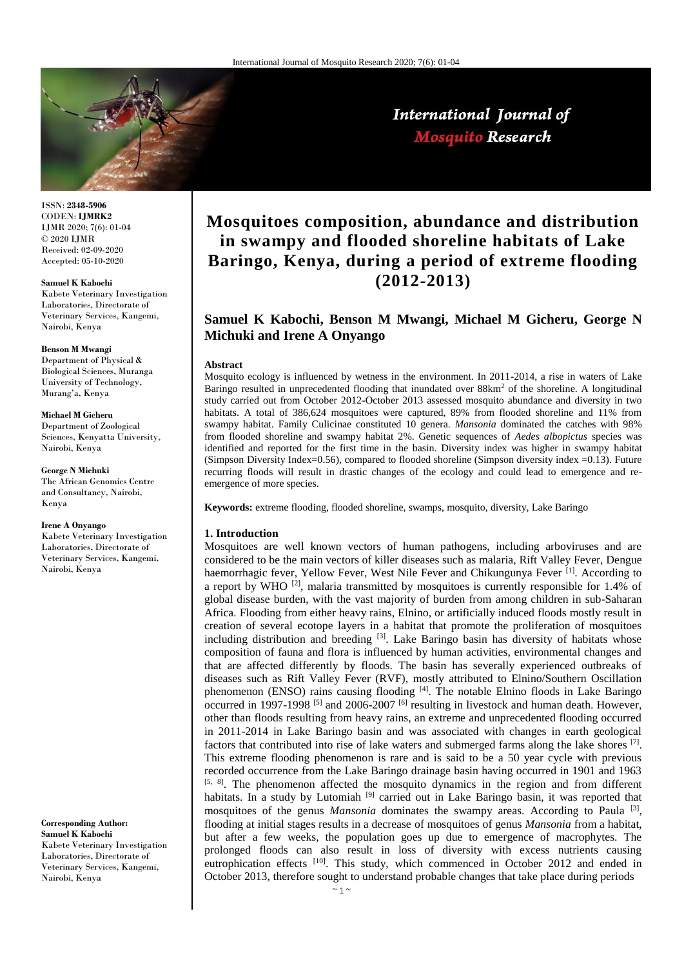

ISSN: **2348-5906** CODEN: **IJMRK2** IJMR 2020; 7(6): 01-04 © 2020 IJMR Received: 02-09-2020 Accepted: 05-10-2020

#### **Samuel K Kabochi**

Kabete Veterinary Investigation Laboratories, Directorate of Veterinary Services, Kangemi, Nairobi, Kenya

#### **Benson M Mwangi**

Department of Physical & Biological Sciences, Muranga University of Technology, Murang'a, Kenya

#### **Michael M Gicheru**

Department of Zoological Sciences, Kenyatta University, Nairobi, Kenya

#### **George N Michuki**

The African Genomics Centre and Consultancy, Nairobi, Kenya

#### **Irene A Onyango**

Kabete Veterinary Investigation Laboratories, Directorate of Veterinary Services, Kangemi, Nairobi, Kenya

### **Corresponding Author: Samuel K Kabochi** Kabete Veterinary Investigation

Laboratories, Directorate of Veterinary Services, Kangemi, Nairobi, Kenya

# **Mosquitoes composition, abundance and distribution in swampy and flooded shoreline habitats of Lake Baringo, Kenya, during a period of extreme flooding (2012-2013)**

## **Samuel K Kabochi, Benson M Mwangi, Michael M Gicheru, George N Michuki and Irene A Onyango**

#### **Abstract**

Mosquito ecology is influenced by wetness in the environment. In 2011-2014, a rise in waters of Lake Baringo resulted in unprecedented flooding that inundated over 88km<sup>2</sup> of the shoreline. A longitudinal study carried out from October 2012-October 2013 assessed mosquito abundance and diversity in two habitats. A total of 386,624 mosquitoes were captured, 89% from flooded shoreline and 11% from swampy habitat. Family Culicinae constituted 10 genera. *Mansonia* dominated the catches with 98% from flooded shoreline and swampy habitat 2%. Genetic sequences of *Aedes albopictus* species was identified and reported for the first time in the basin. Diversity index was higher in swampy habitat (Simpson Diversity Index=0.56), compared to flooded shoreline (Simpson diversity index =0.13). Future recurring floods will result in drastic changes of the ecology and could lead to emergence and reemergence of more species.

**Keywords:** extreme flooding, flooded shoreline, swamps, mosquito, diversity, Lake Baringo

### **1. Introduction**

Mosquitoes are well known vectors of human pathogens, including arboviruses and are considered to be the main vectors of killer diseases such as malaria, Rift Valley Fever, Dengue haemorrhagic fever, Yellow Fever, West Nile Fever and Chikungunya Fever <sup>[1]</sup>. According to a report by WHO  $^{[2]}$ , malaria transmitted by mosquitoes is currently responsible for 1.4% of global disease burden, with the vast majority of burden from among children in sub-Saharan Africa. Flooding from either heavy rains, Elnino, or artificially induced floods mostly result in creation of several ecotope layers in a habitat that promote the proliferation of mosquitoes including distribution and breeding  $[3]$ . Lake Baringo basin has diversity of habitats whose composition of fauna and flora is influenced by human activities, environmental changes and that are affected differently by floods. The basin has severally experienced outbreaks of diseases such as Rift Valley Fever (RVF), mostly attributed to Elnino/Southern Oscillation phenomenon (ENSO) rains causing flooding [4]. The notable Elnino floods in Lake Baringo occurred in 1997-1998  $^{[5]}$  and 2006-2007  $^{[6]}$  resulting in livestock and human death. However, other than floods resulting from heavy rains, an extreme and unprecedented flooding occurred in 2011-2014 in Lake Baringo basin and was associated with changes in earth geological factors that contributed into rise of lake waters and submerged farms along the lake shores  $[7]$ . This extreme flooding phenomenon is rare and is said to be a 50 year cycle with previous recorded occurrence from the Lake Baringo drainage basin having occurred in 1901 and 1963 [5, 8]. The phenomenon affected the mosquito dynamics in the region and from different habitats. In a study by Lutomiah<sup>[9]</sup> carried out in Lake Baringo basin, it was reported that mosquitoes of the genus *Mansonia* dominates the swampy areas. According to Paula <sup>[3]</sup>, flooding at initial stages results in a decrease of mosquitoes of genus *Mansonia* from a habitat, but after a few weeks, the population goes up due to emergence of macrophytes. The prolonged floods can also result in loss of diversity with excess nutrients causing eutrophication effects <sup>[10]</sup>. This study, which commenced in October 2012 and ended in October 2013, therefore sought to understand probable changes that take place during periods

## International Journal of **Mosquito Research**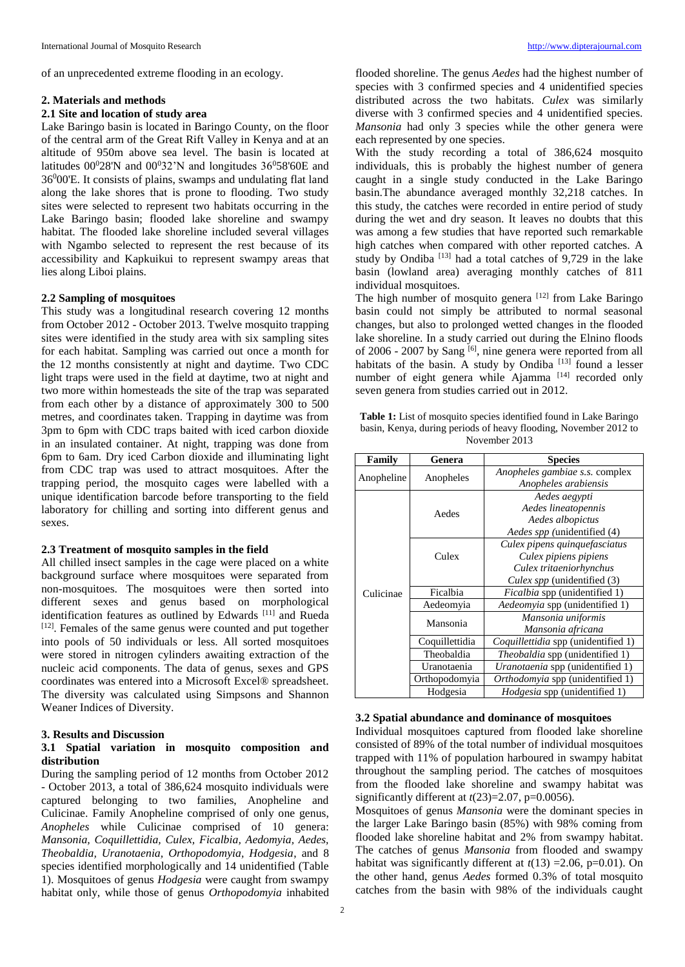of an unprecedented extreme flooding in an ecology.

## **2. Materials and methods**

### **2.1 Site and location of study area**

Lake Baringo basin is located in Baringo County, on the floor of the central arm of the Great Rift Valley in Kenya and at an altitude of 950m above sea level. The basin is located at latitudes  $00^028'N$  and  $00^032'N$  and longitudes  $36^058'60E$  and 36<sup>0</sup>00'E. It consists of plains, swamps and undulating flat land along the lake shores that is prone to flooding. Two study sites were selected to represent two habitats occurring in the Lake Baringo basin; flooded lake shoreline and swampy habitat. The flooded lake shoreline included several villages with Ngambo selected to represent the rest because of its accessibility and Kapkuikui to represent swampy areas that lies along Liboi plains.

## **2.2 Sampling of mosquitoes**

This study was a longitudinal research covering 12 months from October 2012 - October 2013. Twelve mosquito trapping sites were identified in the study area with six sampling sites for each habitat. Sampling was carried out once a month for the 12 months consistently at night and daytime. Two CDC light traps were used in the field at daytime, two at night and two more within homesteads the site of the trap was separated from each other by a distance of approximately 300 to 500 metres, and coordinates taken. Trapping in daytime was from 3pm to 6pm with CDC traps baited with iced carbon dioxide in an insulated container. At night, trapping was done from 6pm to 6am. Dry iced Carbon dioxide and illuminating light from CDC trap was used to attract mosquitoes. After the trapping period, the mosquito cages were labelled with a unique identification barcode before transporting to the field laboratory for chilling and sorting into different genus and sexes.

#### **2.3 Treatment of mosquito samples in the field**

All chilled insect samples in the cage were placed on a white background surface where mosquitoes were separated from non-mosquitoes. The mosquitoes were then sorted into different sexes and genus based on morphological identification features as outlined by Edwards [11] and Rueda [12]. Females of the same genus were counted and put together into pools of 50 individuals or less. All sorted mosquitoes were stored in nitrogen cylinders awaiting extraction of the nucleic acid components. The data of genus, sexes and GPS coordinates was entered into a Microsoft Excel® spreadsheet. The diversity was calculated using Simpsons and Shannon Weaner Indices of Diversity.

## **3. Results and Discussion**

## **3.1 Spatial variation in mosquito composition and distribution**

During the sampling period of 12 months from October 2012 - October 2013, a total of 386,624 mosquito individuals were captured belonging to two families, Anopheline and Culicinae. Family Anopheline comprised of only one genus, *Anopheles* while Culicinae comprised of 10 genera: *Mansonia, Coquillettidia, Culex, Ficalbia, Aedomyia, Aedes, Theobaldia, Uranotaenia, Orthopodomyia, Hodgesia*, and 8 species identified morphologically and 14 unidentified (Table 1). Mosquitoes of genus *Hodgesia* were caught from swampy habitat only, while those of genus *Orthopodomyia* inhabited

flooded shoreline. The genus *Aedes* had the highest number of species with 3 confirmed species and 4 unidentified species distributed across the two habitats. *Culex* was similarly diverse with 3 confirmed species and 4 unidentified species. *Mansonia* had only 3 species while the other genera were each represented by one species.

With the study recording a total of 386,624 mosquito individuals, this is probably the highest number of genera caught in a single study conducted in the Lake Baringo basin.The abundance averaged monthly 32,218 catches. In this study, the catches were recorded in entire period of study during the wet and dry season. It leaves no doubts that this was among a few studies that have reported such remarkable high catches when compared with other reported catches. A study by Ondiba<sup>[13]</sup> had a total catches of 9,729 in the lake basin (lowland area) averaging monthly catches of 811 individual mosquitoes.

The high number of mosquito genera [12] from Lake Baringo basin could not simply be attributed to normal seasonal changes, but also to prolonged wetted changes in the flooded lake shoreline. In a study carried out during the Elnino floods of 2006 - 2007 by Sang <sup>[6]</sup>, nine genera were reported from all habitats of the basin. A study by Ondiba  $[13]$  found a lesser number of eight genera while Ajamma<sup>[14]</sup> recorded only seven genera from studies carried out in 2012.

Table 1: List of mosquito species identified found in Lake Baringo basin, Kenya, during periods of heavy flooding, November 2012 to November 2013

| Family     | Genera         | <b>Species</b>                             |
|------------|----------------|--------------------------------------------|
| Anopheline | Anopheles      | Anopheles gambiae s.s. complex             |
|            |                | Anopheles arabiensis                       |
| Culicinae  |                | Aedes aegypti                              |
|            | Aedes          | Aedes lineatopennis                        |
|            |                | Aedes albopictus                           |
|            |                | Aedes spp (unidentified (4)                |
|            | Culex          | Culex pipens quinquefasciatus              |
|            |                | Culex pipiens pipiens                      |
|            |                | Culex tritaeniorhynchus                    |
|            |                | Culex spp (unidentified (3)                |
|            | Ficalbia       | <i>Ficalbia</i> spp (unidentified 1)       |
|            | Aedeomyia      | <i>Aedeomyia</i> spp (unidentified 1)      |
|            | Mansonia       | Mansonia uniformis                         |
|            |                | Mansonia africana                          |
|            | Coquillettidia | <i>Coquillettidia</i> spp (unidentified 1) |
|            | Theobaldia     | <i>Theobaldia</i> spp (unidentified 1)     |
|            | Uranotaenia    | Uranotaenia spp (unidentified 1)           |
|            | Orthopodomyia  | Orthodomyia spp (unidentified 1)           |
|            | Hodgesia       | Hodgesia spp (unidentified 1)              |

### **3.2 Spatial abundance and dominance of mosquitoes**

Individual mosquitoes captured from flooded lake shoreline consisted of 89% of the total number of individual mosquitoes trapped with 11% of population harboured in swampy habitat throughout the sampling period. The catches of mosquitoes from the flooded lake shoreline and swampy habitat was significantly different at *t*(23)=2.07, p=0.0056).

Mosquitoes of genus *Mansonia* were the dominant species in the larger Lake Baringo basin (85%) with 98% coming from flooded lake shoreline habitat and 2% from swampy habitat. The catches of genus *Mansonia* from flooded and swampy habitat was significantly different at  $t(13) = 2.06$ , p=0.01). On the other hand, genus *Aedes* formed 0.3% of total mosquito catches from the basin with 98% of the individuals caught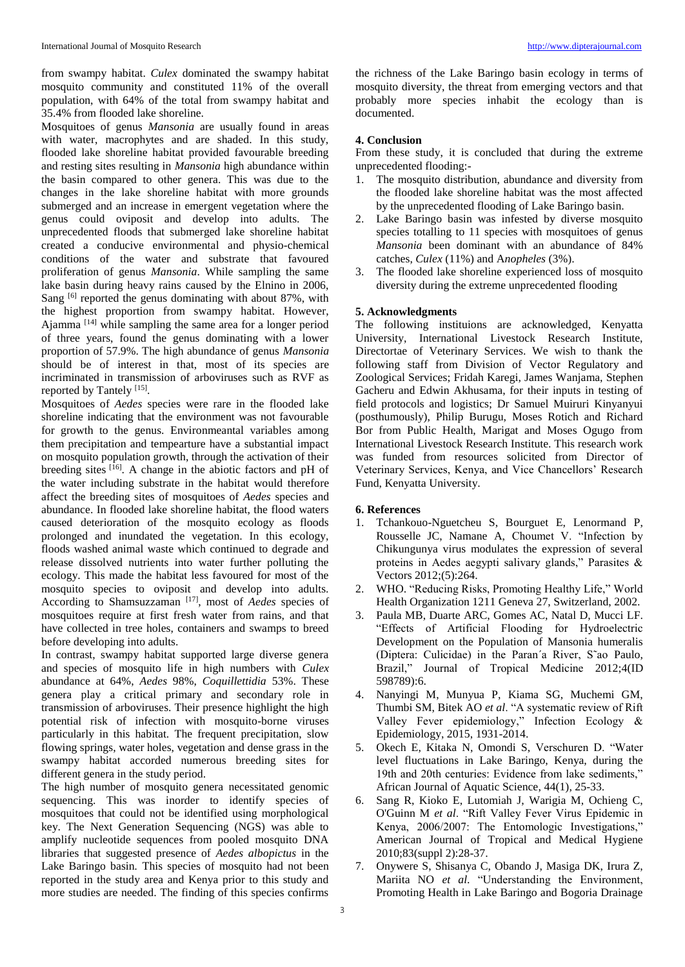from swampy habitat. *Culex* dominated the swampy habitat mosquito community and constituted 11% of the overall population, with 64% of the total from swampy habitat and 35.4% from flooded lake shoreline.

Mosquitoes of genus *Mansonia* are usually found in areas with water, macrophytes and are shaded. In this study, flooded lake shoreline habitat provided favourable breeding and resting sites resulting in *Mansonia* high abundance within the basin compared to other genera. This was due to the changes in the lake shoreline habitat with more grounds submerged and an increase in emergent vegetation where the genus could oviposit and develop into adults. The unprecedented floods that submerged lake shoreline habitat created a conducive environmental and physio-chemical conditions of the water and substrate that favoured proliferation of genus *Mansonia*. While sampling the same lake basin during heavy rains caused by the Elnino in 2006, Sang <sup>[6]</sup> reported the genus dominating with about 87%, with the highest proportion from swampy habitat. However, Ajamma  $[14]$  while sampling the same area for a longer period of three years, found the genus dominating with a lower proportion of 57.9%. The high abundance of genus *Mansonia*  should be of interest in that, most of its species are incriminated in transmission of arboviruses such as RVF as reported by Tantely<sup>[15]</sup>.

Mosquitoes of *Aedes* species were rare in the flooded lake shoreline indicating that the environment was not favourable for growth to the genus. Environmeantal variables among them precipitation and tempearture have a substantial impact on mosquito population growth, through the activation of their breeding sites [16]. A change in the abiotic factors and pH of the water including substrate in the habitat would therefore affect the breeding sites of mosquitoes of *Aedes* species and abundance. In flooded lake shoreline habitat, the flood waters caused deterioration of the mosquito ecology as floods prolonged and inundated the vegetation. In this ecology, floods washed animal waste which continued to degrade and release dissolved nutrients into water further polluting the ecology. This made the habitat less favoured for most of the mosquito species to oviposit and develop into adults. According to Shamsuzzaman [17], most of *Aedes* species of mosquitoes require at first fresh water from rains, and that have collected in tree holes, containers and swamps to breed before developing into adults.

In contrast, swampy habitat supported large diverse genera and species of mosquito life in high numbers with *Culex* abundance at 64%, *Aedes* 98%, *Coquillettidia* 53%. These genera play a critical primary and secondary role in transmission of arboviruses. Their presence highlight the high potential risk of infection with mosquito-borne viruses particularly in this habitat. The frequent precipitation, slow flowing springs, water holes, vegetation and dense grass in the swampy habitat accorded numerous breeding sites for different genera in the study period.

The high number of mosquito genera necessitated genomic sequencing. This was inorder to identify species of mosquitoes that could not be identified using morphological key. The Next Generation Sequencing (NGS) was able to amplify nucleotide sequences from pooled mosquito DNA libraries that suggested presence of *Aedes albopictus* in the Lake Baringo basin*.* This species of mosquito had not been reported in the study area and Kenya prior to this study and more studies are needed. The finding of this species confirms

the richness of the Lake Baringo basin ecology in terms of mosquito diversity, the threat from emerging vectors and that probably more species inhabit the ecology than is documented.

## **4. Conclusion**

From these study, it is concluded that during the extreme unprecedented flooding:-

- 1. The mosquito distribution, abundance and diversity from the flooded lake shoreline habitat was the most affected by the unprecedented flooding of Lake Baringo basin.
- 2. Lake Baringo basin was infested by diverse mosquito species totalling to 11 species with mosquitoes of genus *Mansonia* been dominant with an abundance of 84% catches, *Culex* (11%) and A*nopheles* (3%).
- 3. The flooded lake shoreline experienced loss of mosquito diversity during the extreme unprecedented flooding

## **5. Acknowledgments**

The following instituions are acknowledged, Kenyatta University, International Livestock Research Institute, Directortae of Veterinary Services. We wish to thank the following staff from Division of Vector Regulatory and Zoological Services; Fridah Karegi, James Wanjama, Stephen Gacheru and Edwin Akhusama, for their inputs in testing of field protocols and logistics; Dr Samuel Muiruri Kinyanyui (posthumously), Philip Burugu, Moses Rotich and Richard Bor from Public Health, Marigat and Moses Ogugo from International Livestock Research Institute. This research work was funded from resources solicited from Director of Veterinary Services, Kenya, and Vice Chancellors' Research Fund, Kenyatta University.

## **6. References**

- 1. Tchankouo-Nguetcheu S, Bourguet E, Lenormand P, Rousselle JC, Namane A, Choumet V. "Infection by Chikungunya virus modulates the expression of several proteins in Aedes aegypti salivary glands," Parasites & Vectors 2012;(5):264.
- 2. WHO. "Reducing Risks, Promoting Healthy Life," World Health Organization 1211 Geneva 27, Switzerland, 2002.
- 3. Paula MB, Duarte ARC, Gomes AC, Natal D, Mucci LF. "Effects of Artificial Flooding for Hydroelectric Development on the Population of Mansonia humeralis (Diptera: Culicidae) in the Paran´a River, S˜ao Paulo, Brazil," Journal of Tropical Medicine 2012;4(ID 598789):6.
- 4. Nanyingi M, Munyua P, Kiama SG, Muchemi GM, Thumbi SM, Bitek AO *et al*. "A systematic review of Rift Valley Fever epidemiology," Infection Ecology & Epidemiology, 2015, 1931-2014.
- 5. Okech E, Kitaka N, Omondi S, Verschuren D. "Water level fluctuations in Lake Baringo, Kenya, during the 19th and 20th centuries: Evidence from lake sediments," African Journal of Aquatic Science, 44(1), 25-33.
- 6. Sang R, Kioko E, Lutomiah J, Warigia M, Ochieng C, O'Guinn M *et al*. "Rift Valley Fever Virus Epidemic in Kenya, 2006/2007: The Entomologic Investigations," American Journal of Tropical and Medical Hygiene 2010;83(suppl 2):28-37.
- 7. Onywere S, Shisanya C, Obando J, Masiga DK, Irura Z, Mariita NO *et al*. "Understanding the Environment, Promoting Health in Lake Baringo and Bogoria Drainage